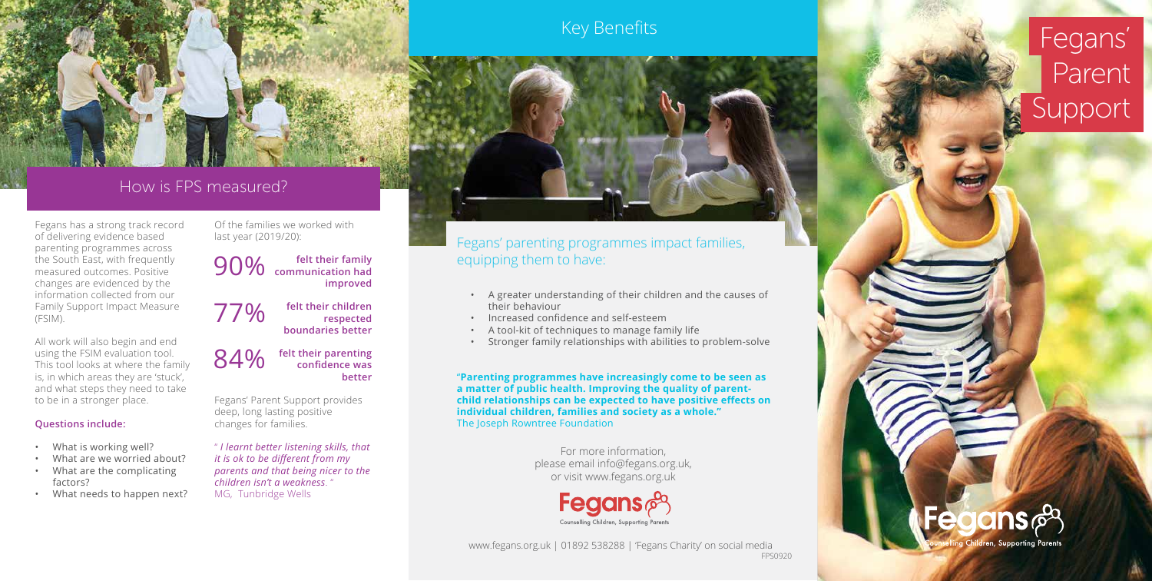Fegans has a strong track record of delivering evidence based parenting programmes across the South East, with frequently measured outcomes. Positive changes are evidenced by the information collected from our Family Support Impact Measure (FSIM).

All work will also begin and end using the FSIM evaluation tool. This tool looks at where the family is, in which areas they are 'stuck', and what steps they need to take to be in a stronger place.

84% **felt their parenting**<br>confidence was **confidence was better**

## **Questions include:**

- What is working well?
- What are we worried about?
- What are the complicating factors?
- What needs to happen next?

# Key Benefits **Fegans'** Parent Support



Of the families we worked with last year (2019/20):

90% **felt their family communication had improved** 

77% **felt their children boundaries better** 



**respected** 

Fegans' Parent Support provides deep, long lasting positive changes for families.

" *I learnt better listening skills, that it is ok to be different from my parents and that being nicer to the children isn't a weakness*. " MG, Tunbridge Wells





# How is FPS measured?

Fegans' parenting programmes impact families, equipping them to have:

- A greater understanding of their children and the causes of their behaviour
- Increased confidence and self-esteem
- A tool-kit of techniques to manage family life
- Stronger family relationships with abilities to problem-solve

"**Parenting programmes have increasingly come to be seen as a matter of public health. Improving the quality of parentchild relationships can be expected to have positive effects on individual children, families and society as a whole."** The Joseph Rowntree Foundation

> For more information, please email info@fegans.org.uk, or visit www.fegans.org.uk